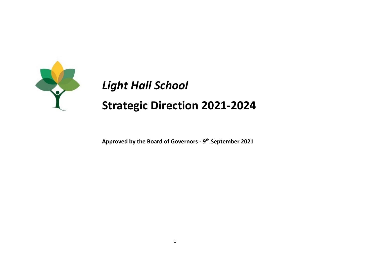

**Approved by the Board of Governors - 9th September 2021**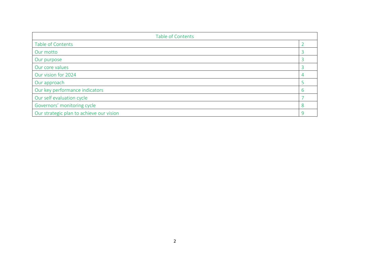| Table of Contents                        |   |  |
|------------------------------------------|---|--|
| Table of Contents                        |   |  |
| Our motto                                |   |  |
| Our purpose                              |   |  |
| Our core values                          |   |  |
| Our vision for 2024                      |   |  |
| Our approach                             |   |  |
| Our key performance indicators           | n |  |
| Our self evaluation cycle                |   |  |
| Governors' monitoring cycle              | 8 |  |
| Our strategic plan to achieve our vision |   |  |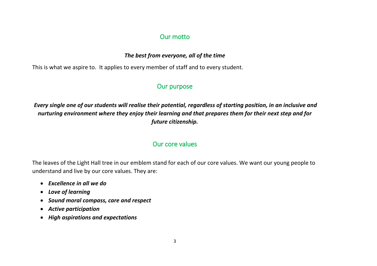### Our motto

### *The best from everyone, all of the time*

This is what we aspire to. It applies to every member of staff and to every student.

## Our purpose

*Every single one of our students will realise their potential, regardless of starting position, in an inclusive and nurturing environment where they enjoy their learning and that prepares them for their next step and for future citizenship.*

# Our core values

The leaves of the Light Hall tree in our emblem stand for each of our core values. We want our young people to understand and live by our core values. They are:

- *Excellence in all we do*
- *Love of learning*
- *Sound moral compass, care and respect*
- *Active participation*
- *High aspirations and expectations*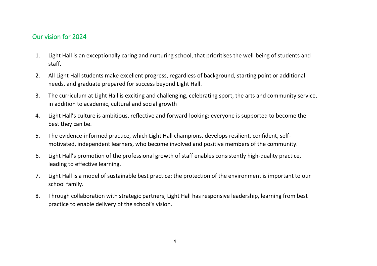## Our vision for 2024

- 1. Light Hall is an exceptionally caring and nurturing school, that prioritises the well-being of students and staff.
- 2. All Light Hall students make excellent progress, regardless of background, starting point or additional needs, and graduate prepared for success beyond Light Hall.
- 3. The curriculum at Light Hall is exciting and challenging, celebrating sport, the arts and community service, in addition to academic, cultural and social growth
- 4. Light Hall's culture is ambitious, reflective and forward-looking: everyone is supported to become the best they can be.
- 5. The evidence-informed practice, which Light Hall champions, develops resilient, confident, selfmotivated, independent learners, who become involved and positive members of the community.
- 6. Light Hall's promotion of the professional growth of staff enables consistently high-quality practice, leading to effective learning.
- 7. Light Hall is a model of sustainable best practice: the protection of the environment is important to our school family.
- 8. Through collaboration with strategic partners, Light Hall has responsive leadership, learning from best practice to enable delivery of the school's vision.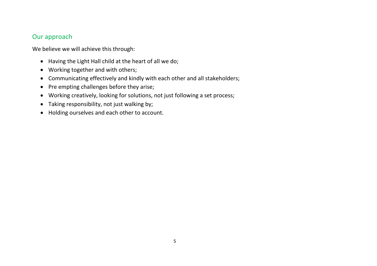## Our approach

We believe we will achieve this through:

- Having the Light Hall child at the heart of all we do;
- Working together and with others;
- Communicating effectively and kindly with each other and all stakeholders;
- Pre empting challenges before they arise;
- Working creatively, looking for solutions, not just following a set process;
- Taking responsibility, not just walking by;
- Holding ourselves and each other to account.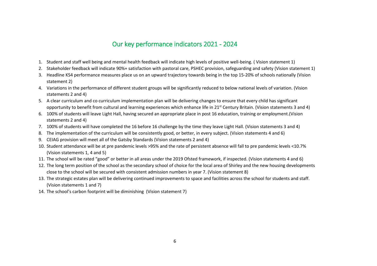## Our key performance indicators 2021 - 2024

- 1. Student and staff well being and mental health feedback will indicate high levels of positive well-being. ( Vision statement 1)
- 2. Stakeholder feedback will indicate 90%+ satisfaction with pastoral care, PSHEC provision, safeguarding and safety (Vision statement 1)
- 3. Headline KS4 performance measures place us on an upward trajectory towards being in the top 15-20% of schools nationally (Vision statement 2)
- 4. Variations in the performance of different student groups will be significantly reduced to below national levels of variation. (Vision statements 2 and 4)
- 5. A clear curriculum and co curriculum implementation plan will be delivering changes to ensure that every child has significant opportunity to benefit from cultural and learning experiences which enhance life in 21st Century Britain. (Vision statements 3 and 4)
- 6. 100% of students will leave Light Hall, having secured an appropriate place in post 16 education, training or employment.(Vision statements 2 and 4)
- 7. 100% of students will have completed the 16 before 16 challenge by the time they leave Light Hall. (Vision statements 3 and 4)
- 8. The implementation of the curriculum will be consistently good, or better, in every subject. (Vision statements 4 and 6)
- 9. CEIAG provision will meet all of the Gatsby Standards (Vision statements 2 and 4)
- 10. Student attendance will be at pre pandemic levels >95% and the rate of persistent absence will fall to pre pandemic levels <10.7% (Vision statements 1, 4 and 5)
- 11. The school will be rated "good" or better in all areas under the 2019 Ofsted framework, if inspected. (Vision statements 4 and 6)
- 12. The long term position of the school as the secondary school of choice for the local area of Shirley and the new housing developments close to the school will be secured with consistent admission numbers in year 7. (Vision statement 8)
- 13. The strategic estates plan will be delivering continued improvements to space and facilities across the school for students and staff. (Vision statements 1 and 7)
- 14. The school's carbon footprint will be diminishing (Vision statement 7)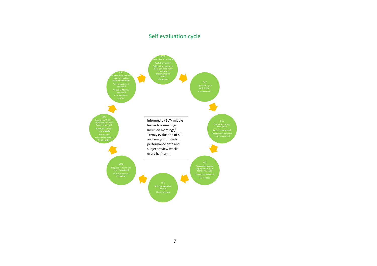# Self evaluation cycle

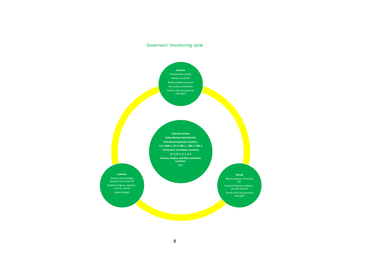### Governors' monitoring cycle

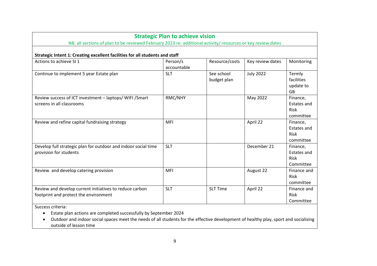| <b>Strategic Plan to achieve vision</b><br>NB: all sections of plan to be reviewed February 2023 re: additional activity/ resources or key review dates |                         |                           |                  |                                                            |
|---------------------------------------------------------------------------------------------------------------------------------------------------------|-------------------------|---------------------------|------------------|------------------------------------------------------------|
| Strategic Intent 1: Creating excellent facilities for all students and staff                                                                            |                         |                           |                  |                                                            |
| Actions to achieve SI 1                                                                                                                                 | Person/s<br>accountable | Resource/costs            | Key review dates | Monitoring                                                 |
| Continue to implement 5 year Estate plan                                                                                                                | <b>SLT</b>              | See school<br>budget plan | <b>July 2022</b> | Termly<br>facilities<br>update to<br><b>GB</b>             |
| Review success of ICT investment - laptops/ WIFI / Smart<br>screens in all classrooms                                                                   | RMC/NHY                 |                           | May 2022         | Finance,<br><b>Estates and</b><br><b>Risk</b><br>committee |
| Review and refine capital fundraising strategy                                                                                                          | MFI                     |                           | April 22         | Finance,<br><b>Estates and</b><br>Risk<br>committee        |
| Develop full strategic plan for outdoor and indoor social time<br>provision for students                                                                | <b>SLT</b>              |                           | December 21      | Finance,<br><b>Estates and</b><br><b>Risk</b><br>Committee |
| Review and develop catering provision                                                                                                                   | <b>MFI</b>              |                           | August 22        | Finance and<br>Risk<br>committee                           |
| Review and develop current initiatives to reduce carbon<br>footprint and protect the environment                                                        | <b>SLT</b>              | <b>SLT Time</b>           | April 22         | Finance and<br>Risk<br>Committee                           |
| Cussoco suitsuist                                                                                                                                       |                         |                           |                  |                                                            |

Success criteria:

- Estate plan actions are completed successfully by September 2024
- Outdoor and indoor social spaces meet the needs of all students for the effective development of healthy play, sport and socialising outside of lesson time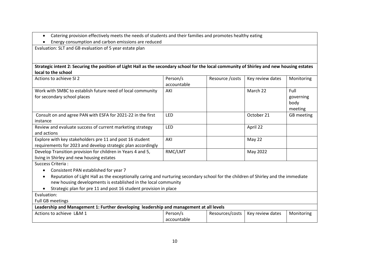- Catering provision effectively meets the needs of students and their families and promotes healthy eating
- Energy consumption and carbon emissions are reduced

Evaluation: SLT and GB evaluation of 5 year estate plan

**Strategic intent 2: Securing the position of Light Hall as the secondary school for the local community of Shirley and new housing estates local to the school**

| Actions to achieve SI 2                                                                                                                                                                                                                                                                                                               | Person/s<br>accountable | Resource / costs | Key review dates | Monitoring                           |
|---------------------------------------------------------------------------------------------------------------------------------------------------------------------------------------------------------------------------------------------------------------------------------------------------------------------------------------|-------------------------|------------------|------------------|--------------------------------------|
| Work with SMBC to establish future need of local community<br>for secondary school places                                                                                                                                                                                                                                             | AKI                     |                  | March 22         | Full<br>governing<br>body<br>meeting |
| Consult on and agree PAN with ESFA for 2021-22 in the first<br>instance                                                                                                                                                                                                                                                               | <b>LED</b>              |                  | October 21       | GB meeting                           |
| Review and evaluate success of current marketing strategy<br>and actions                                                                                                                                                                                                                                                              | LED                     |                  | April 22         |                                      |
| Explore with key stakeholders pre 11 and post 16 student<br>requirements for 2023 and develop strategic plan accordingly                                                                                                                                                                                                              | AKI                     |                  | May 22           |                                      |
| Develop Transition provision for children in Years 4 and 5,<br>living in Shirley and new housing estates                                                                                                                                                                                                                              | RMC/LMT                 |                  | May 2022         |                                      |
| Success Criteria:<br>Consistent PAN established for year 7<br>Reputation of Light Hall as the exceptionally caring and nurturing secondary school for the children of Shirley and the immediate<br>new housing developments is established in the local community<br>Strategic plan for pre 11 and post 16 student provision in place |                         |                  |                  |                                      |
| Evaluation:<br>Full GB meetings                                                                                                                                                                                                                                                                                                       |                         |                  |                  |                                      |
| Leadership and Management 1: Further developing leadership and management at all levels                                                                                                                                                                                                                                               |                         |                  |                  |                                      |
| Actions to achieve L&M 1                                                                                                                                                                                                                                                                                                              | Person/s<br>accountable | Resources/costs  | Key review dates | Monitoring                           |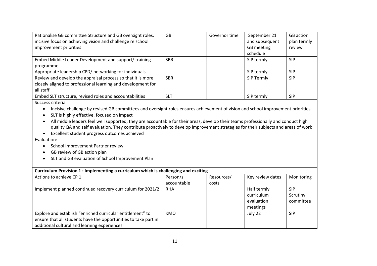| Rationalise GB committee Structure and GB oversight roles,                                                                                   | <b>GB</b>   | Governor time | September 21      | <b>GB</b> action |
|----------------------------------------------------------------------------------------------------------------------------------------------|-------------|---------------|-------------------|------------------|
| incisive focus on achieving vision and challenge re school                                                                                   |             |               | and subsequent    | plan termly      |
| improvement priorities                                                                                                                       |             |               | <b>GB</b> meeting | review           |
|                                                                                                                                              |             |               | schedule          |                  |
| Embed Middle Leader Development and support/ training                                                                                        | <b>SBR</b>  |               | SIP termly        | <b>SIP</b>       |
| programme                                                                                                                                    |             |               |                   |                  |
| Appropriate leadership CPD/ networking for individuals                                                                                       |             |               | SIP termly        | <b>SIP</b>       |
| Review and develop the appraisal process so that it is more                                                                                  | <b>SBR</b>  |               | SIP Termly        | <b>SIP</b>       |
| closely aligned to professional learning and development for                                                                                 |             |               |                   |                  |
| all staff                                                                                                                                    |             |               |                   |                  |
| Embed SLT structure, revised roles and accountabilities                                                                                      | <b>SLT</b>  |               | SIP termly        | <b>SIP</b>       |
| Success criteria                                                                                                                             |             |               |                   |                  |
| Incisive challenge by revised GB committees and oversight roles ensures achievement of vision and school improvement priorities<br>$\bullet$ |             |               |                   |                  |
| SLT is highly effective, focused on impact                                                                                                   |             |               |                   |                  |
| All middle leaders feel well supported, they are accountable for their areas, develop their teams professionally and conduct high<br>٠       |             |               |                   |                  |
| quality QA and self evaluation. They contribute proactively to develop improvement strategies for their subjects and areas of work           |             |               |                   |                  |
| Excellent student progress outcomes achieved                                                                                                 |             |               |                   |                  |
| Evaluation:                                                                                                                                  |             |               |                   |                  |
| School Improvement Partner review<br>$\bullet$                                                                                               |             |               |                   |                  |
| GB review of GB action plan<br>$\bullet$                                                                                                     |             |               |                   |                  |
| SLT and GB evaluation of School Improvement Plan                                                                                             |             |               |                   |                  |
|                                                                                                                                              |             |               |                   |                  |
| Curriculum Provision 1 : Implementing a curriculum which is challenging and exciting                                                         |             |               |                   |                  |
| Actions to achieve CP 1                                                                                                                      | Person/s    | Resources/    | Key review dates  | Monitoring       |
|                                                                                                                                              | accountable | costs         |                   |                  |
| Implement planned continued recovery curriculum for 2021/2                                                                                   | <b>RHA</b>  |               | Half termly       | <b>SIP</b>       |
|                                                                                                                                              |             |               | curriculum        | Scrutiny         |
|                                                                                                                                              |             |               | evaluation        | committee        |
|                                                                                                                                              |             |               | meetings          |                  |
| Explore and establish "enriched curricular entitlement" to                                                                                   | <b>KMO</b>  |               | July 22           | <b>SIP</b>       |
| ensure that all students have the opportunities to take part in                                                                              |             |               |                   |                  |
| additional cultural and learning experiences                                                                                                 |             |               |                   |                  |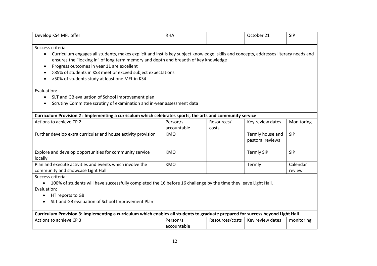| Develop KS4 MFL offer                                                                                                                                                                                                                                                                               | <b>RHA</b>  |                 | October 21                           | <b>SIP</b>         |
|-----------------------------------------------------------------------------------------------------------------------------------------------------------------------------------------------------------------------------------------------------------------------------------------------------|-------------|-----------------|--------------------------------------|--------------------|
| Success criteria:                                                                                                                                                                                                                                                                                   |             |                 |                                      |                    |
| Curriculum engages all students, makes explicit and instils key subject knowledge, skills and concepts, addresses literacy needs and<br>$\bullet$<br>ensures the "locking in" of long term memory and depth and breadth of key knowledge<br>Progress outcomes in year 11 are excellent<br>$\bullet$ |             |                 |                                      |                    |
| >85% of students in KS3 meet or exceed subject expectations<br>$\bullet$                                                                                                                                                                                                                            |             |                 |                                      |                    |
| >50% of students study at least one MFL in KS4<br>$\bullet$                                                                                                                                                                                                                                         |             |                 |                                      |                    |
| Evaluation:                                                                                                                                                                                                                                                                                         |             |                 |                                      |                    |
| SLT and GB evaluation of School Improvement plan<br>$\bullet$                                                                                                                                                                                                                                       |             |                 |                                      |                    |
| Scrutiny Committee scrutiny of examination and in-year assessment data<br>$\bullet$                                                                                                                                                                                                                 |             |                 |                                      |                    |
| Curriculum Provision 2 : Implementing a curriculum which celebrates sports, the arts and community service                                                                                                                                                                                          |             |                 |                                      |                    |
| Actions to achieve CP 2                                                                                                                                                                                                                                                                             | Person/s    | Resources/      | Key review dates                     | Monitoring         |
|                                                                                                                                                                                                                                                                                                     | accountable | costs           |                                      |                    |
| Further develop extra curricular and house activity provision                                                                                                                                                                                                                                       | <b>KMO</b>  |                 | Termly house and<br>pastoral reviews | <b>SIP</b>         |
| Explore and develop opportunities for community service<br>locally                                                                                                                                                                                                                                  | <b>KMO</b>  |                 | <b>Termly SIP</b>                    | <b>SIP</b>         |
| Plan and execute activities and events which involve the<br>community and showcase Light Hall                                                                                                                                                                                                       | <b>KMO</b>  |                 | Termly                               | Calendar<br>review |
| Success criteria:                                                                                                                                                                                                                                                                                   |             |                 |                                      |                    |
| 100% of students will have successfully completed the 16 before 16 challenge by the time they leave Light Hall.<br>$\bullet$                                                                                                                                                                        |             |                 |                                      |                    |
| Evaluation:                                                                                                                                                                                                                                                                                         |             |                 |                                      |                    |
| HT reports to GB<br>٠                                                                                                                                                                                                                                                                               |             |                 |                                      |                    |
| SLT and GB evaluation of School Improvement Plan                                                                                                                                                                                                                                                    |             |                 |                                      |                    |
| Curriculum Provision 3: Implementing a curriculum which enables all students to graduate prepared for success beyond Light Hall                                                                                                                                                                     |             |                 |                                      |                    |
| Actions to achieve CP 3                                                                                                                                                                                                                                                                             | Person/s    | Resources/costs | Key review dates                     | monitoring         |
|                                                                                                                                                                                                                                                                                                     | accountable |                 |                                      |                    |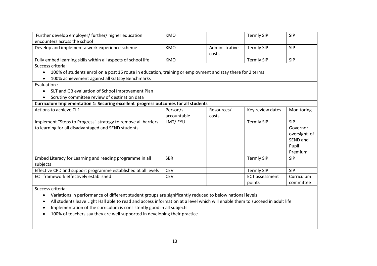| Further develop employer/ further/ higher education                                                       | <b>KMO</b>  |                | <b>Termly SIP</b>     | <b>SIP</b>   |
|-----------------------------------------------------------------------------------------------------------|-------------|----------------|-----------------------|--------------|
| encounters across the school                                                                              |             |                |                       |              |
| Develop and implement a work experience scheme                                                            | <b>KMO</b>  | Administrative | <b>Termly SIP</b>     | <b>SIP</b>   |
|                                                                                                           |             | costs          |                       |              |
| Fully embed learning skills within all aspects of school life                                             | <b>KMO</b>  |                | <b>Termly SIP</b>     | <b>SIP</b>   |
| Success criteria:                                                                                         |             |                |                       |              |
| 100% of students enrol on a post 16 route in education, training or employment and stay there for 2 terms |             |                |                       |              |
| 100% achievement against all Gatsby Benchmarks                                                            |             |                |                       |              |
| Evaluation :                                                                                              |             |                |                       |              |
| SLT and GB evaluation of School Improvement Plan                                                          |             |                |                       |              |
| Scrutiny committee review of destination data                                                             |             |                |                       |              |
| Curriculum Implementation 1: Securing excellent progress outcomes for all students                        |             |                |                       |              |
| Actions to achieve CI 1                                                                                   | Person/s    | Resources/     | Key review dates      | Monitoring   |
|                                                                                                           | accountable | costs          |                       |              |
| Implement "Steps to Progress" strategy to remove all barriers                                             | LMT/EYU     |                | <b>Termly SIP</b>     | <b>SIP</b>   |
| to learning for all disadvantaged and SEND students                                                       |             |                |                       | Governor     |
|                                                                                                           |             |                |                       | oversight of |
|                                                                                                           |             |                |                       | SEND and     |
|                                                                                                           |             |                |                       | Pupil        |
|                                                                                                           |             |                |                       | Premium      |
| Embed Literacy for Learning and reading programme in all                                                  | <b>SBR</b>  |                | <b>Termly SIP</b>     | <b>SIP</b>   |
| subjects                                                                                                  |             |                |                       |              |
| Effective CPD and support programme established at all levels                                             | <b>CEV</b>  |                | <b>Termly SIP</b>     | <b>SIP</b>   |
| ECT framework effectively established                                                                     | <b>CEV</b>  |                | <b>ECT</b> assessment | Curriculum   |
|                                                                                                           |             |                | points                | committee    |

Success criteria:

• Variations in performance of different student groups are significantly reduced to below national levels

• All students leave Light Hall able to read and access information at a level which will enable them to succeed in adult life

- Implementation of the curriculum is consistently good in all subjects
- 100% of teachers say they are well supported in developing their practice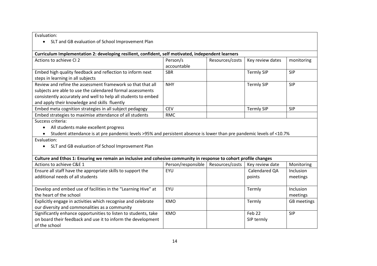Evaluation:

• SLT and GB evaluation of School Improvement Plan

### **Curriculum Implementation 2: developing resilient, confident, self motivated, independent learners**

| Actions to achieve CI 2                                        | Person/s    | Resources/costs | Key review dates  | monitoring |
|----------------------------------------------------------------|-------------|-----------------|-------------------|------------|
|                                                                | accountable |                 |                   |            |
| Embed high quality feedback and reflection to inform next      | <b>SBR</b>  |                 | <b>Termly SIP</b> | <b>SIP</b> |
| steps in learning in all subjects                              |             |                 |                   |            |
| Review and refine the assessment framework so that that all    | <b>NHY</b>  |                 | <b>Termly SIP</b> | <b>SIP</b> |
| subjects are able to use the calendared formal assessments     |             |                 |                   |            |
| consistently accurately and well to help all students to embed |             |                 |                   |            |
| and apply their knowledge and skills fluently                  |             |                 |                   |            |
| Embed meta cognition strategies in all subject pedagogy        | <b>CEV</b>  |                 | <b>Termly SIP</b> | <b>SIP</b> |
| Embed strategies to maximise attendance of all students        | <b>RMC</b>  |                 |                   |            |

Success criteria:

• All students make excellent progress

• Student attendance is at pre pandemic levels >95% and persistent absence is lower than pre pandemic levels of <10.7%

Evaluation:

• SLT and GB evaluation of School Improvement Plan

| Culture and Ethos 1: Ensuring we remain an inclusive and cohesive community in response to cohort profile changes |                    |                 |                 |             |
|-------------------------------------------------------------------------------------------------------------------|--------------------|-----------------|-----------------|-------------|
| Actions to achieve C&E 1                                                                                          | Person/responsible | Resources/costs | Key review date | Monitoring  |
| Ensure all staff have the appropriate skills to support the                                                       | EYU                |                 | Calendared QA   | Inclusion   |
| additional needs of all students                                                                                  |                    |                 | points          | meetings    |
|                                                                                                                   |                    |                 |                 |             |
| Develop and embed use of facilities in the "Learning Hive" at                                                     | EYU                |                 | Termly          | Inclusion   |
| the heart of the school                                                                                           |                    |                 |                 | meetings    |
| Explicitly engage in activities which recognise and celebrate                                                     | <b>KMO</b>         |                 | Termly          | GB meetings |
| our diversity and commonalities as a community                                                                    |                    |                 |                 |             |
| Significantly enhance opportunities to listen to students, take                                                   | KMO                |                 | Feb 22          | <b>SIP</b>  |
| on board their feedback and use it to inform the development                                                      |                    |                 | SIP termly      |             |
| of the school                                                                                                     |                    |                 |                 |             |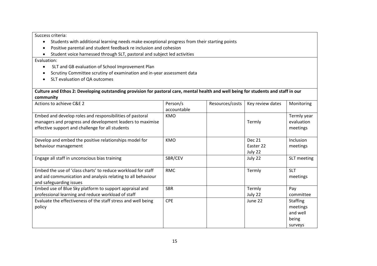### Success criteria:

- Students with additional learning needs make exceptional progress from their starting points
- Positive parental and student feedback re inclusion and cohesion
- Student voice harnessed through SLT, pastoral and subject led activities

### Evaluation:

- SLT and GB evaluation of School Improvement Plan
- Scrutiny Committee scrutiny of examination and in-year assessment data
- SLT evaluation of QA outcomes

**Culture and Ethos 2: Developing outstanding provision for pastoral care, mental health and well being for students and staff in our community**

| Actions to achieve C&E 2                                                                                                                                                  | Person/s<br>accountable | Resources/costs | Key review dates                      | Monitoring                                                  |
|---------------------------------------------------------------------------------------------------------------------------------------------------------------------------|-------------------------|-----------------|---------------------------------------|-------------------------------------------------------------|
| Embed and develop roles and responsibilities of pastoral<br>managers and progress and development leaders to maximise<br>effective support and challenge for all students | <b>KMO</b>              |                 | Termly                                | Termly year<br>evaluation<br>meetings                       |
| Develop and embed the positive relationships model for<br>behaviour management                                                                                            | <b>KMO</b>              |                 | <b>Dec 21</b><br>Easter 22<br>July 22 | Inclusion<br>meetings                                       |
| Engage all staff in unconscious bias training                                                                                                                             | SBR/CEV                 |                 | July 22                               | SLT meeting                                                 |
| Embed the use of 'class charts' to reduce workload for staff<br>and aid communication and analysis relating to all behaviour<br>and safeguarding issues                   | <b>RMC</b>              |                 | Termly                                | <b>SLT</b><br>meetings                                      |
| Embed use of Blue Sky platform to support appraisal and<br>professional learning and reduce workload of staff                                                             | <b>SBR</b>              |                 | Termly<br>July 22                     | Pay<br>committee                                            |
| Evaluate the effectiveness of the staff stress and well being<br>policy                                                                                                   | <b>CPE</b>              |                 | June 22                               | <b>Staffing</b><br>meetings<br>and well<br>being<br>surveys |